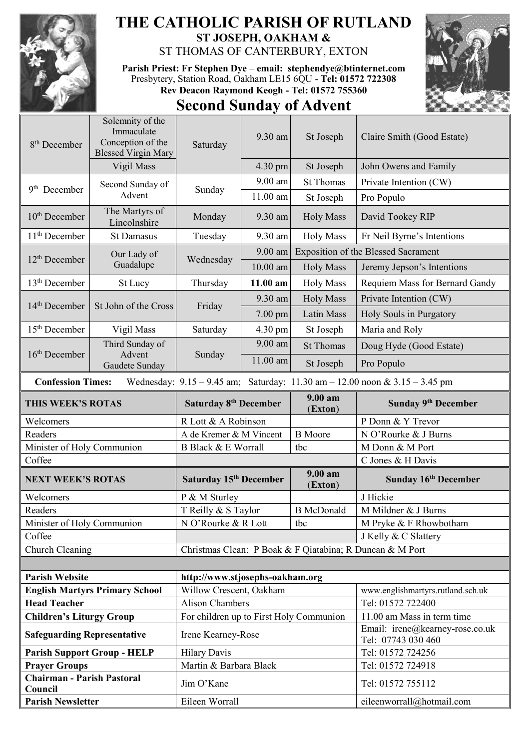

## **THE CATHOLIC PARISH OF RUTLAND ST JOSEPH, OAKHAM &**

ST THOMAS OF CANTERBURY, EXTON

**Parish Priest: Fr Stephen Dye** – **[email: stephendye@btinternet.com](mailto:email:%20%20stephendye@btinternet.com)** Presbytery, Station Road, Oakham LE15 6QU - **Tel: 01572 722308 Rev Deacon Raymond Keogh - Tel: 01572 755360**



## **Second Sunday of Advent**

| 8 <sup>th</sup> December                                              | Solemnity of the<br>Immaculate<br>Conception of the<br><b>Blessed Virgin Mary</b> | Saturday                                                      | 9.30 am   | St Joseph                                  | Claire Smith (Good Estate)                                                          |  |
|-----------------------------------------------------------------------|-----------------------------------------------------------------------------------|---------------------------------------------------------------|-----------|--------------------------------------------|-------------------------------------------------------------------------------------|--|
|                                                                       | Vigil Mass                                                                        |                                                               | 4.30 pm   | St Joseph                                  | John Owens and Family                                                               |  |
|                                                                       | Second Sunday of                                                                  |                                                               | 9.00 am   | <b>St Thomas</b>                           | Private Intention (CW)                                                              |  |
| 9 <sup>th</sup> December                                              | Advent                                                                            | Sunday                                                        | 11.00 am  | St Joseph                                  | Pro Populo                                                                          |  |
| $10th$ December                                                       | The Martyrs of<br>Lincolnshire                                                    | Monday                                                        | 9.30 am   | <b>Holy Mass</b>                           | David Tookey RIP                                                                    |  |
| $11th$ December                                                       | <b>St Damasus</b>                                                                 | Tuesday                                                       | 9.30 am   | <b>Holy Mass</b>                           | Fr Neil Byrne's Intentions                                                          |  |
|                                                                       | Our Lady of<br>Guadalupe                                                          | Wednesday                                                     | 9.00 am   | <b>Exposition of the Blessed Sacrament</b> |                                                                                     |  |
| $12th$ December                                                       |                                                                                   |                                                               | 10.00 am  | <b>Holy Mass</b>                           | Jeremy Jepson's Intentions                                                          |  |
| 13 <sup>th</sup> December                                             | St Lucy                                                                           | Thursday                                                      | 11.00 am  | <b>Holy Mass</b>                           | Requiem Mass for Bernard Gandy                                                      |  |
|                                                                       | St John of the Cross                                                              | Friday                                                        | 9.30 am   | <b>Holy Mass</b>                           | Private Intention (CW)                                                              |  |
| $14th$ December                                                       |                                                                                   |                                                               | $7.00$ pm | Latin Mass                                 | Holy Souls in Purgatory                                                             |  |
| $15th$ December                                                       | Vigil Mass                                                                        | Saturday                                                      | 4.30 pm   | St Joseph                                  | Maria and Roly                                                                      |  |
|                                                                       | Third Sunday of<br>Advent<br>Gaudete Sunday                                       | Sunday                                                        | 9.00 am   | <b>St Thomas</b>                           | Doug Hyde (Good Estate)                                                             |  |
| $16th$ December                                                       |                                                                                   |                                                               | 11.00 am  | St Joseph                                  | Pro Populo                                                                          |  |
| <b>Confession Times:</b>                                              |                                                                                   |                                                               |           |                                            | Wednesday: $9.15 - 9.45$ am; Saturday: $11.30$ am $- 12.00$ noon & $3.15 - 3.45$ pm |  |
| THIS WEEK'S ROTAS                                                     |                                                                                   | <b>Saturday 8th December</b>                                  |           | 9.00 am                                    | Sunday 9th December                                                                 |  |
|                                                                       |                                                                                   |                                                               |           |                                            |                                                                                     |  |
| Welcomers                                                             |                                                                                   | R Lott & A Robinson                                           |           | (Exton)                                    | P Donn & Y Trevor                                                                   |  |
| Readers                                                               |                                                                                   | A de Kremer & M Vincent                                       |           | <b>B</b> Moore                             | N O'Rourke & J Burns                                                                |  |
| Minister of Holy Communion                                            |                                                                                   | <b>B Black &amp; E Worrall</b>                                |           | tbc                                        | M Donn & M Port                                                                     |  |
| Coffee                                                                |                                                                                   |                                                               |           |                                            | C Jones & H Davis                                                                   |  |
| <b>NEXT WEEK'S ROTAS</b>                                              |                                                                                   | Saturday 15 <sup>th</sup> December                            |           | $9.00 a$ m<br>(Exton)                      | Sunday 16th December                                                                |  |
| Welcomers                                                             |                                                                                   | P & M Sturley                                                 |           |                                            | J Hickie                                                                            |  |
| Readers                                                               |                                                                                   | T Reilly & S Taylor                                           |           | <b>B</b> McDonald                          | M Mildner & J Burns                                                                 |  |
| Minister of Holy Communion                                            |                                                                                   | N O'Rourke & R Lott                                           |           | tbc                                        | M Pryke & F Rhowbotham                                                              |  |
| Coffee                                                                |                                                                                   |                                                               |           |                                            | J Kelly & C Slattery                                                                |  |
| Church Cleaning                                                       |                                                                                   |                                                               |           |                                            | Christmas Clean: P Boak & F Qiatabina; R Duncan & M Port                            |  |
|                                                                       |                                                                                   |                                                               |           |                                            |                                                                                     |  |
| <b>Parish Website</b>                                                 |                                                                                   | http://www.stjosephs-oakham.org                               |           |                                            |                                                                                     |  |
|                                                                       | <b>English Martyrs Primary School</b>                                             | Willow Crescent, Oakham                                       |           |                                            | www.englishmartyrs.rutland.sch.uk                                                   |  |
| <b>Head Teacher</b>                                                   |                                                                                   | <b>Alison Chambers</b>                                        |           |                                            | Tel: 01572 722400                                                                   |  |
| <b>Children's Liturgy Group</b><br><b>Safeguarding Representative</b> |                                                                                   | For children up to First Holy Communion<br>Irene Kearney-Rose |           |                                            | 11.00 am Mass in term time<br>Email: irene@kearney-rose.co.uk                       |  |
|                                                                       |                                                                                   |                                                               |           |                                            | Tel: 07743 030 460                                                                  |  |
| <b>Prayer Groups</b>                                                  | <b>Parish Support Group - HELP</b>                                                | <b>Hilary Davis</b><br>Martin & Barbara Black                 |           |                                            | Tel: 01572 724256<br>Tel: 01572 724918                                              |  |
| <b>Chairman - Parish Pastoral</b><br>Council                          |                                                                                   | Jim O'Kane                                                    |           |                                            | Tel: 01572 755112                                                                   |  |